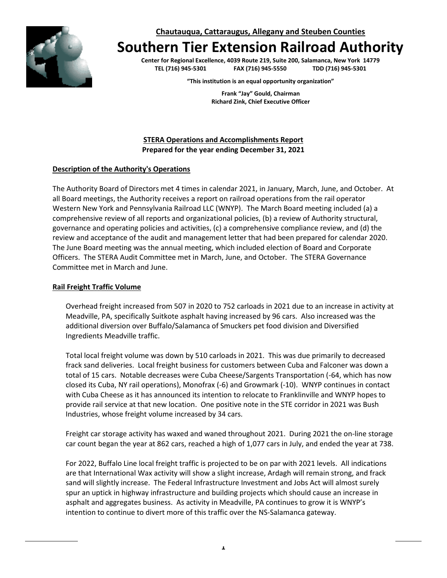**Chautauqua, Cattaraugus, Allegany and Steuben Counties**

# **Southern Tier Extension Railroad Authority**

**Center for Regional Excellence, 4039 Route 219, Suite 200, Salamanca, New York 14779 TEL (716) 945-5301 FAX (716) 945-5550 TDD (716) 945-5301**

**"This institution is an equal opportunity organization"**

**Frank "Jay" Gould, Chairman Richard Zink, Chief Executive Officer**

**STERA Operations and Accomplishments Report Prepared for the year ending December 31, 2021**

#### **Description of the Authority's Operations**

The Authority Board of Directors met 4 times in calendar 2021, in January, March, June, and October. At all Board meetings, the Authority receives a report on railroad operations from the rail operator Western New York and Pennsylvania Railroad LLC (WNYP). The March Board meeting included (a) a comprehensive review of all reports and organizational policies, (b) a review of Authority structural, governance and operating policies and activities, (c) a comprehensive compliance review, and (d) the review and acceptance of the audit and management letter that had been prepared for calendar 2020. The June Board meeting was the annual meeting, which included election of Board and Corporate Officers. The STERA Audit Committee met in March, June, and October. The STERA Governance Committee met in March and June.

#### **Rail Freight Traffic Volume**

Overhead freight increased from 507 in 2020 to 752 carloads in 2021 due to an increase in activity at Meadville, PA, specifically Suitkote asphalt having increased by 96 cars. Also increased was the additional diversion over Buffalo/Salamanca of Smuckers pet food division and Diversified Ingredients Meadville traffic.

Total local freight volume was down by 510 carloads in 2021. This was due primarily to decreased frack sand deliveries. Local freight business for customers between Cuba and Falconer was down a total of 15 cars. Notable decreases were Cuba Cheese/Sargents Transportation (-64, which has now closed its Cuba, NY rail operations), Monofrax (-6) and Growmark (-10). WNYP continues in contact with Cuba Cheese as it has announced its intention to relocate to Franklinville and WNYP hopes to provide rail service at that new location. One positive note in the STE corridor in 2021 was Bush Industries, whose freight volume increased by 34 cars.

Freight car storage activity has waxed and waned throughout 2021. During 2021 the on-line storage car count began the year at 862 cars, reached a high of 1,077 cars in July, and ended the year at 738.

For 2022, Buffalo Line local freight traffic is projected to be on par with 2021 levels. All indications are that International Wax activity will show a slight increase, Ardagh will remain strong, and frack sand will slightly increase. The Federal Infrastructure Investment and Jobs Act will almost surely spur an uptick in highway infrastructure and building projects which should cause an increase in asphalt and aggregates business. As activity in Meadville, PA continues to grow it is WNYP's intention to continue to divert more of this traffic over the NS-Salamanca gateway.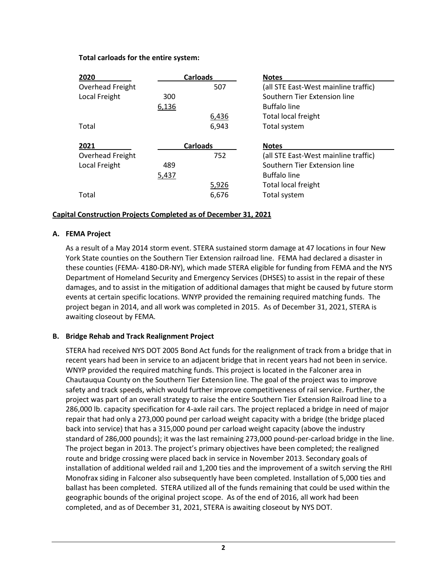#### **Total carloads for the entire system:**

| 2020             | <b>Carloads</b> |       | <b>Notes</b>                         |
|------------------|-----------------|-------|--------------------------------------|
| Overhead Freight |                 | 507   | (all STE East-West mainline traffic) |
| Local Freight    | 300             |       | Southern Tier Extension line         |
|                  | 6,136           |       | <b>Buffalo line</b>                  |
|                  |                 | 6,436 | Total local freight                  |
| Total            |                 | 6,943 | Total system                         |
| 2021             | <b>Carloads</b> |       | <b>Notes</b>                         |
|                  |                 |       |                                      |
| Overhead Freight |                 | 752   | (all STE East-West mainline traffic) |
| Local Freight    | 489             |       | Southern Tier Extension line         |
|                  | 5,437           |       | <b>Buffalo line</b>                  |
|                  |                 | 5,926 | Total local freight                  |

## **Capital Construction Projects Completed as of December 31, 2021**

#### **A. FEMA Project**

As a result of a May 2014 storm event. STERA sustained storm damage at 47 locations in four New York State counties on the Southern Tier Extension railroad line. FEMA had declared a disaster in these counties (FEMA- 4180-DR-NY), which made STERA eligible for funding from FEMA and the NYS Department of Homeland Security and Emergency Services (DHSES) to assist in the repair of these damages, and to assist in the mitigation of additional damages that might be caused by future storm events at certain specific locations. WNYP provided the remaining required matching funds. The project began in 2014, and all work was completed in 2015. As of December 31, 2021, STERA is awaiting closeout by FEMA.

#### **B. Bridge Rehab and Track Realignment Project**

STERA had received NYS DOT 2005 Bond Act funds for the realignment of track from a bridge that in recent years had been in service to an adjacent bridge that in recent years had not been in service. WNYP provided the required matching funds. This project is located in the Falconer area in Chautauqua County on the Southern Tier Extension line. The goal of the project was to improve safety and track speeds, which would further improve competitiveness of rail service. Further, the project was part of an overall strategy to raise the entire Southern Tier Extension Railroad line to a 286,000 lb. capacity specification for 4-axle rail cars. The project replaced a bridge in need of major repair that had only a 273,000 pound per carload weight capacity with a bridge (the bridge placed back into service) that has a 315,000 pound per carload weight capacity (above the industry standard of 286,000 pounds); it was the last remaining 273,000 pound-per-carload bridge in the line. The project began in 2013. The project's primary objectives have been completed; the realigned route and bridge crossing were placed back in service in November 2013. Secondary goals of installation of additional welded rail and 1,200 ties and the improvement of a switch serving the RHI Monofrax siding in Falconer also subsequently have been completed. Installation of 5,000 ties and ballast has been completed. STERA utilized all of the funds remaining that could be used within the geographic bounds of the original project scope. As of the end of 2016, all work had been completed, and as of December 31, 2021, STERA is awaiting closeout by NYS DOT.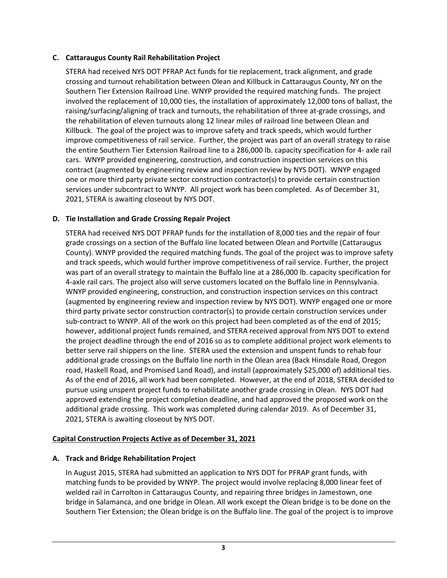# **C. Cattaraugus County Rail Rehabilitation Project**

STERA had received NYS DOT PFRAP Act funds for tie replacement, track alignment, and grade crossing and turnout rehabilitation between Olean and Killbuck in Cattaraugus County, NY on the Southern Tier Extension Railroad Line. WNYP provided the required matching funds. The project involved the replacement of 10,000 ties, the installation of approximately 12,000 tons of ballast, the raising/surfacing/aligning of track and turnouts, the rehabilitation of three at-grade crossings, and the rehabilitation of eleven turnouts along 12 linear miles of railroad line between Olean and Killbuck. The goal of the project was to improve safety and track speeds, which would further improve competitiveness of rail service. Further, the project was part of an overall strategy to raise the entire Southern Tier Extension Railroad line to a 286,000 lb. capacity specification for 4- axle rail cars. WNYP provided engineering, construction, and construction inspection services on this contract (augmented by engineering review and inspection review by NYS DOT). WNYP engaged one or more third party private sector construction contractor(s) to provide certain construction services under subcontract to WNYP. All project work has been completed. As of December 31, 2021, STERA is awaiting closeout by NYS DOT.

# **D. Tie Installation and Grade Crossing Repair Project**

STERA had received NYS DOT PFRAP funds for the installation of 8,000 ties and the repair of four grade crossings on a section of the Buffalo line located between Olean and Portville (Cattaraugus County). WNYP provided the required matching funds. The goal of the project was to improve safety and track speeds, which would further improve competitiveness of rail service. Further, the project was part of an overall strategy to maintain the Buffalo line at a 286,000 lb. capacity specification for 4-axle rail cars. The project also will serve customers located on the Buffalo line in Pennsylvania. WNYP provided engineering, construction, and construction inspection services on this contract (augmented by engineering review and inspection review by NYS DOT). WNYP engaged one or more third party private sector construction contractor(s) to provide certain construction services under sub-contract to WNYP. All of the work on this project had been completed as of the end of 2015; however, additional project funds remained, and STERA received approval from NYS DOT to extend the project deadline through the end of 2016 so as to complete additional project work elements to better serve rail shippers on the line. STERA used the extension and unspent funds to rehab four additional grade crossings on the Buffalo line north in the Olean area (Back Hinsdale Road, Oregon road, Haskell Road, and Promised Land Road), and install (approximately \$25,000 of) additional ties. As of the end of 2016, all work had been completed. However, at the end of 2018, STERA decided to pursue using unspent project funds to rehabilitate another grade crossing in Olean. NYS DOT had approved extending the project completion deadline, and had approved the proposed work on the additional grade crossing. This work was completed during calendar 2019. As of December 31, 2021, STERA is awaiting closeout by NYS DOT.

## **Capital Construction Projects Active as of December 31, 2021**

## **A. Track and Bridge Rehabilitation Project**

In August 2015, STERA had submitted an application to NYS DOT for PFRAP grant funds, with matching funds to be provided by WNYP. The project would involve replacing 8,000 linear feet of welded rail in Carrolton in Cattaraugus County, and repairing three bridges in Jamestown, one bridge in Salamanca, and one bridge in Olean. All work except the Olean bridge is to be done on the Southern Tier Extension; the Olean bridge is on the Buffalo line. The goal of the project is to improve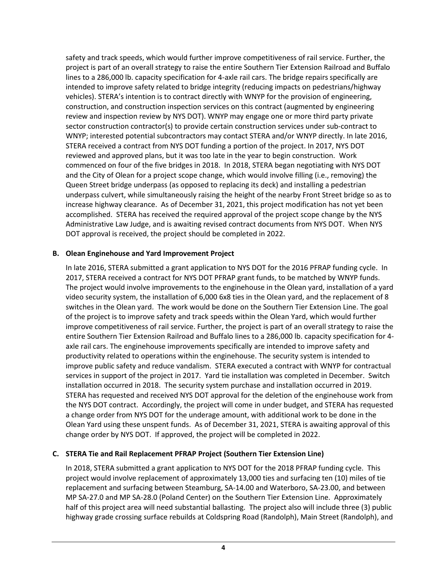safety and track speeds, which would further improve competitiveness of rail service. Further, the project is part of an overall strategy to raise the entire Southern Tier Extension Railroad and Buffalo lines to a 286,000 lb. capacity specification for 4-axle rail cars. The bridge repairs specifically are intended to improve safety related to bridge integrity (reducing impacts on pedestrians/highway vehicles). STERA's intention is to contract directly with WNYP for the provision of engineering, construction, and construction inspection services on this contract (augmented by engineering review and inspection review by NYS DOT). WNYP may engage one or more third party private sector construction contractor(s) to provide certain construction services under sub-contract to WNYP; interested potential subcontractors may contact STERA and/or WNYP directly. In late 2016, STERA received a contract from NYS DOT funding a portion of the project. In 2017, NYS DOT reviewed and approved plans, but it was too late in the year to begin construction. Work commenced on four of the five bridges in 2018. In 2018, STERA began negotiating with NYS DOT and the City of Olean for a project scope change, which would involve filling (i.e., removing) the Queen Street bridge underpass (as opposed to replacing its deck) and installing a pedestrian underpass culvert, while simultaneously raising the height of the nearby Front Street bridge so as to increase highway clearance. As of December 31, 2021, this project modification has not yet been accomplished. STERA has received the required approval of the project scope change by the NYS Administrative Law Judge, and is awaiting revised contract documents from NYS DOT. When NYS DOT approval is received, the project should be completed in 2022.

## **B. Olean Enginehouse and Yard Improvement Project**

In late 2016, STERA submitted a grant application to NYS DOT for the 2016 PFRAP funding cycle. In 2017, STERA received a contract for NYS DOT PFRAP grant funds, to be matched by WNYP funds. The project would involve improvements to the enginehouse in the Olean yard, installation of a yard video security system, the installation of 6,000 6x8 ties in the Olean yard, and the replacement of 8 switches in the Olean yard. The work would be done on the Southern Tier Extension Line. The goal of the project is to improve safety and track speeds within the Olean Yard, which would further improve competitiveness of rail service. Further, the project is part of an overall strategy to raise the entire Southern Tier Extension Railroad and Buffalo lines to a 286,000 lb. capacity specification for 4 axle rail cars. The enginehouse improvements specifically are intended to improve safety and productivity related to operations within the enginehouse. The security system is intended to improve public safety and reduce vandalism. STERA executed a contract with WNYP for contractual services in support of the project in 2017. Yard tie installation was completed in December. Switch installation occurred in 2018. The security system purchase and installation occurred in 2019. STERA has requested and received NYS DOT approval for the deletion of the enginehouse work from the NYS DOT contract. Accordingly, the project will come in under budget, and STERA has requested a change order from NYS DOT for the underage amount, with additional work to be done in the Olean Yard using these unspent funds. As of December 31, 2021, STERA is awaiting approval of this change order by NYS DOT. If approved, the project will be completed in 2022.

## **C. STERA Tie and Rail Replacement PFRAP Project (Southern Tier Extension Line)**

In 2018, STERA submitted a grant application to NYS DOT for the 2018 PFRAP funding cycle. This project would involve replacement of approximately 13,000 ties and surfacing ten (10) miles of tie replacement and surfacing between Steamburg, SA-14.00 and Waterboro, SA-23.00, and between MP SA-27.0 and MP SA-28.0 (Poland Center) on the Southern Tier Extension Line. Approximately half of this project area will need substantial ballasting. The project also will include three (3) public highway grade crossing surface rebuilds at Coldspring Road (Randolph), Main Street (Randolph), and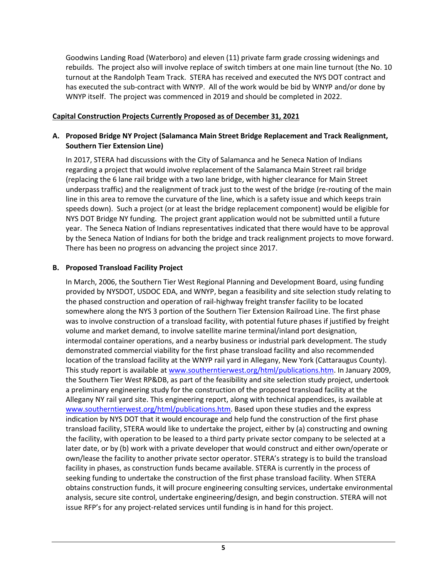Goodwins Landing Road (Waterboro) and eleven (11) private farm grade crossing widenings and rebuilds. The project also will involve replace of switch timbers at one main line turnout (the No. 10 turnout at the Randolph Team Track. STERA has received and executed the NYS DOT contract and has executed the sub-contract with WNYP. All of the work would be bid by WNYP and/or done by WNYP itself. The project was commenced in 2019 and should be completed in 2022.

# **Capital Construction Projects Currently Proposed as of December 31, 2021**

# **A. Proposed Bridge NY Project (Salamanca Main Street Bridge Replacement and Track Realignment, Southern Tier Extension Line)**

In 2017, STERA had discussions with the City of Salamanca and he Seneca Nation of Indians regarding a project that would involve replacement of the Salamanca Main Street rail bridge (replacing the 6 lane rail bridge with a two lane bridge, with higher clearance for Main Street underpass traffic) and the realignment of track just to the west of the bridge (re-routing of the main line in this area to remove the curvature of the line, which is a safety issue and which keeps train speeds down). Such a project (or at least the bridge replacement component) would be eligible for NYS DOT Bridge NY funding. The project grant application would not be submitted until a future year. The Seneca Nation of Indians representatives indicated that there would have to be approval by the Seneca Nation of Indians for both the bridge and track realignment projects to move forward. There has been no progress on advancing the project since 2017.

# **B. Proposed Transload Facility Project**

In March, 2006, the Southern Tier West Regional Planning and Development Board, using funding provided by NYSDOT, USDOC EDA, and WNYP, began a feasibility and site selection study relating to the phased construction and operation of rail-highway freight transfer facility to be located somewhere along the NYS 3 portion of the Southern Tier Extension Railroad Line. The first phase was to involve construction of a transload facility, with potential future phases if justified by freight volume and market demand, to involve satellite marine terminal/inland port designation, intermodal container operations, and a nearby business or industrial park development. The study demonstrated commercial viability for the first phase transload facility and also recommended location of the transload facility at the WNYP rail yard in Allegany, New York (Cattaraugus County). This study report is available at [www.southerntierwest.org/html/publications.htm.](http://www.southerntierwest.org/html/publications.htm) In January 2009, the Southern Tier West RP&DB, as part of the feasibility and site selection study project, undertook a preliminary engineering study for the construction of the proposed transload facility at the Allegany NY rail yard site. This engineering report, along with technical appendices, is available at [www.southerntierwest.org/html/publications.htm.](http://www.southerntierwest.org/html/publications.htm) Based upon these studies and the express indication by NYS DOT that it would encourage and help fund the construction of the first phase transload facility, STERA would like to undertake the project, either by (a) constructing and owning the facility, with operation to be leased to a third party private sector company to be selected at a later date, or by (b) work with a private developer that would construct and either own/operate or own/lease the facility to another private sector operator. STERA's strategy is to build the transload facility in phases, as construction funds became available. STERA is currently in the process of seeking funding to undertake the construction of the first phase transload facility. When STERA obtains construction funds, it will procure engineering consulting services, undertake environmental analysis, secure site control, undertake engineering/design, and begin construction. STERA will not issue RFP's for any project-related services until funding is in hand for this project.